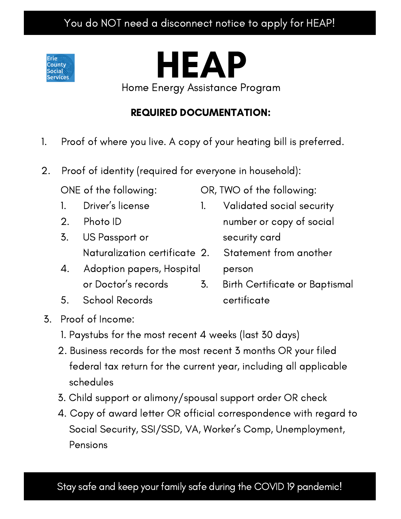### You do NOT need a disconnect notice to apply for HEAP!



# HEAP

Home Energy Assistance Program

## REQUIRED DOCUMENTATION:

- 1. Proof of where you live. A copy of your heating bill is preferred.
- 2. Proof of identity (required for everyone in household):

ONE of the following:

- 1. Driver's license
- 2. Photo ID
- 3. US Passport or Naturalization certificate
- 4. Adoption papers, Hospital or Doctor's records
- 5. School Records
- 3. Proof of Income:
	- 1. Paystubs for the most recent 4 weeks (last 30 days)
	- 2. Business records for the most recent 3 months OR your filed federal tax return for the current year, including all applicable schedules
	- 3. Child support or alimony/spousal support order OR check
	- 4. Copy of award letter OR official correspondence with regard to Social Security, SSI/SSD, VA, Worker's Comp, Unemployment, Pensions
		-

Stay safe and keep your family safe during the COVID 19 pandemic!

- OR, TWO of the following:
	- 1. Validated social security number or copy of social security card
	- Statement from another person
	- 3. Birth Certificate or Baptismal certificate